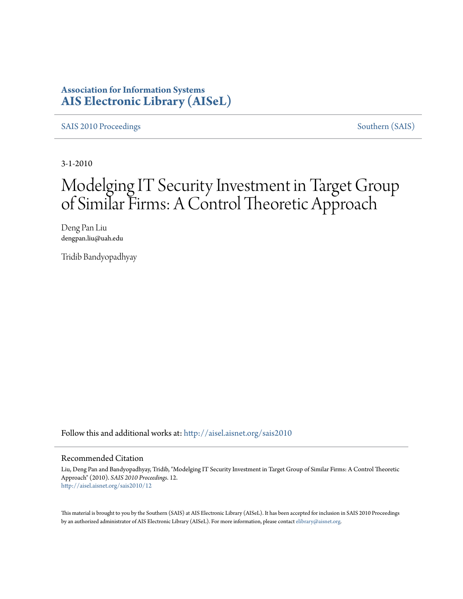### **Association for Information Systems [AIS Electronic Library \(AISeL\)](http://aisel.aisnet.org?utm_source=aisel.aisnet.org%2Fsais2010%2F12&utm_medium=PDF&utm_campaign=PDFCoverPages)**

[SAIS 2010 Proceedings](http://aisel.aisnet.org/sais2010?utm_source=aisel.aisnet.org%2Fsais2010%2F12&utm_medium=PDF&utm_campaign=PDFCoverPages) [Southern \(SAIS\)](http://aisel.aisnet.org/sais?utm_source=aisel.aisnet.org%2Fsais2010%2F12&utm_medium=PDF&utm_campaign=PDFCoverPages)

3-1-2010

# Modelging IT Security Investment in Target Group of Similar Firms: A Control Theoretic Approach

Deng Pan Liu dengpan.liu@uah.edu

Tridib Bandyopadhyay

Follow this and additional works at: [http://aisel.aisnet.org/sais2010](http://aisel.aisnet.org/sais2010?utm_source=aisel.aisnet.org%2Fsais2010%2F12&utm_medium=PDF&utm_campaign=PDFCoverPages)

#### Recommended Citation

Liu, Deng Pan and Bandyopadhyay, Tridib, "Modelging IT Security Investment in Target Group of Similar Firms: A Control Theoretic Approach" (2010). *SAIS 2010 Proceedings*. 12. [http://aisel.aisnet.org/sais2010/12](http://aisel.aisnet.org/sais2010/12?utm_source=aisel.aisnet.org%2Fsais2010%2F12&utm_medium=PDF&utm_campaign=PDFCoverPages)

This material is brought to you by the Southern (SAIS) at AIS Electronic Library (AISeL). It has been accepted for inclusion in SAIS 2010 Proceedings by an authorized administrator of AIS Electronic Library (AISeL). For more information, please contact [elibrary@aisnet.org](mailto:elibrary@aisnet.org%3E).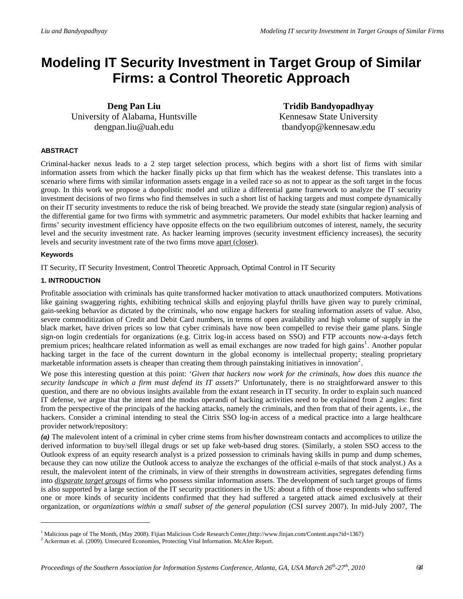## **Modeling IT Security Investment in Target Group of Similar Firms: a Control Theoretic Approach**

**Deng Pan Liu**  University of Alabama, Huntsville dengpan.liu@uah.edu

**Tridib Bandyopadhyay**  Kennesaw State University tbandyop@kennesaw.edu

#### **ABSTRACT**

Criminal-hacker nexus leads to a 2 step target selection process, which begins with a short list of firms with similar information assets from which the hacker finally picks up that firm which has the weakest defense. This translates into a scenario where firms with similar information assets engage in a veiled race so as not to appear as the soft target in the focus group. In this work we propose a duopolistic model and utilize a differential game framework to analyze the IT security investment decisions of two firms who find themselves in such a short list of hacking targets and must compete dynamically on their IT security investments to reduce the risk of being breached. We provide the steady state (singular region) analysis of the differential game for two firms with symmetric and asymmetric parameters. Our model exhibits that hacker learning and firms' security investment efficiency have opposite effects on the two equilibrium outcomes of interest, namely, the security level and the security investment rate. As hacker learning improves (security investment efficiency increases), the security levels and security investment rate of the two firms move apart (closer).

#### **Keywords**

 $\overline{\phantom{a}}$ 

IT Security, IT Security Investment, Control Theoretic Approach, Optimal Control in IT Security

#### **1. INTRODUCTION**

Profitable association with criminals has quite transformed hacker motivation to attack unauthorized computers. Motivations like gaining swaggering rights, exhibiting technical skills and enjoying playful thrills have given way to purely criminal, gain-seeking behavior as dictated by the criminals, who now engage hackers for stealing information assets of value. Also, severe commoditization of Credit and Debit Card numbers, in terms of open availability and high volume of supply in the black market, have driven prices so low that cyber criminals have now been compelled to revise their game plans. Single sign-on login credentials for organizations (e.g. Citrix log-in access based on SSO) and FTP accounts now-a-days fetch premium prices; healthcare related information as well as email exchanges are now traded for high gains<sup>[1](#page-1-0)</sup>. Another popular hacking target in the face of the current downturn in the global economy is intellectual property; stealing proprietary marketable information assets is cheaper than creating them through painstaking initiatives in innovation<sup>[2](#page-1-1)</sup>.

We pose this interesting question at this point: '*Given that hackers now work for the criminals, how does this nuance the security landscape in which a firm must defend its IT assets?*' Unfortunately, there is no straightforward answer to this question, and there are no obvious insights available from the extant research in IT security. In order to explain such nuanced IT defense, we argue that the intent and the modus operandi of hacking activities need to be explained from 2 angles: first from the perspective of the principals of the hacking attacks, namely the criminals, and then from that of their agents, i.e., the hackers. Consider a criminal intending to steal the Citrix SSO log-in access of a medical practice into a large healthcare provider network/repository:

*(a)* The malevolent intent of a criminal in cyber crime stems from his/her downstream contacts and accomplices to utilize the derived information to buy/sell illegal drugs or set up fake web-based drug stores. (Similarly, a stolen SSO access to the Outlook express of an equity research analyst is a prized possession to criminals having skills in pump and dump schemes, because they can now utilize the Outlook access to analyze the exchanges of the official e-mails of that stock analyst.) As a result, the malevolent intent of the criminals, in view of their strengths in downstream activities, segregates defending firms into *disparate target groups* of firms who possess similar information assets. The development of such target groups of firms is also supported by a large section of the IT security practitioners in the US: about a fifth of those respondents who suffered one or more kinds of security incidents confirmed that they had suffered a targeted attack aimed exclusively at their organization, or *organizations within a small subset of the general population* (CSI survey 2007). In mid-July 2007, The

<span id="page-1-1"></span><span id="page-1-0"></span><sup>&</sup>lt;sup>1</sup> Malicious page of The Month, (May 2008). Fijian Malicious Code Research Center,(http://www.finjan.com/Content.aspx?id=1367)

<sup>&</sup>lt;sup>2</sup> Ackerman et. al. (2009). Unsecured Economies, Protecting Vital Information. McAfee Report.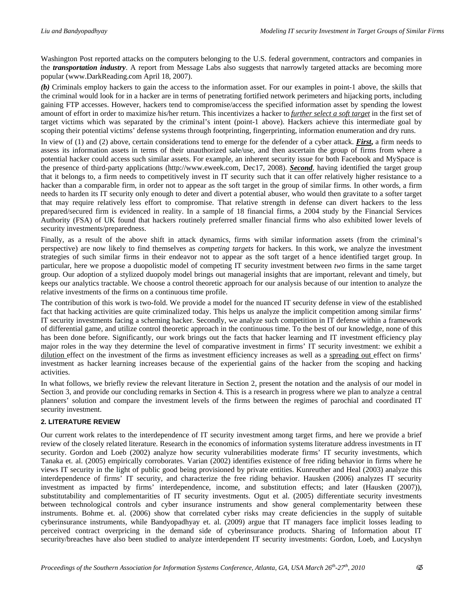Washington Post reported attacks on the computers belonging to the U.S. federal government, contractors and companies in the *transportation industry*. A report from Message Labs also suggests that narrowly targeted attacks are becoming more popular (www.DarkReading.com April 18, 2007).

*(b)* Criminals employ hackers to gain the access to the information asset. For our examples in point-1 above, the skills that the criminal would look for in a hacker are in terms of penetrating fortified network perimeters and hijacking ports, including gaining FTP accesses. However, hackers tend to compromise/access the specified information asset by spending the lowest amount of effort in order to maximize his/her return. This incentivizes a hacker to *further select a soft target* in the first set of target victims which was separated by the criminal's intent (point-1 above). Hackers achieve this intermediate goal by scoping their potential victims' defense systems through footprinting, fingerprinting, information enumeration and dry runs.

In view of (1) and (2) above, certain considerations tend to emerge for the defender of a cyber attack. *First***,** a firm needs to assess its information assets in terms of their unauthorized sale/use, and then ascertain the group of firms from where a potential hacker could access such similar assets. For example, an inherent security issue for both Facebook and MySpace is the presence of third-party applications (http://www.eweek.com, Dec17, 2008). *Second*, having identified the target group that it belongs to, a firm needs to competitively invest in IT security such that it can offer relatively higher resistance to a hacker than a comparable firm, in order not to appear as the soft target in the group of similar firms. In other words, a firm needs to harden its IT security only enough to deter and divert a potential abuser, who would then gravitate to a softer target that may require relatively less effort to compromise. That relative strength in defense can divert hackers to the less prepared/secured firm is evidenced in reality. In a sample of 18 financial firms, a 2004 study by the Financial Services Authority (FSA) of UK found that hackers routinely preferred smaller financial firms who also exhibited lower levels of security investments/preparedness.

Finally, as a result of the above shift in attack dynamics, firms with similar information assets (from the criminal's perspective) are now likely to find themselves as *competing targets* for hackers. In this work, we analyze the investment strategies of such similar firms in their endeavor not to appear as the soft target of a hence identified target group. In particular, here we propose a duopolistic model of competing IT security investment between *two* firms in the same target group. Our adoption of a stylized duopoly model brings out managerial insights that are important, relevant and timely, but keeps our analytics tractable. We choose a control theoretic approach for our analysis because of our intention to analyze the relative investments of the firms on a continuous time profile.

The contribution of this work is two-fold. We provide a model for the nuanced IT security defense in view of the established fact that hacking activities are quite criminalized today. This helps us analyze the implicit competition among similar firms' IT security investments facing a scheming hacker. Secondly, we analyze such competition in IT defense within a framework of differential game, and utilize control theoretic approach in the continuous time. To the best of our knowledge, none of this has been done before. Significantly, our work brings out the facts that hacker learning and IT investment efficiency play major roles in the way they determine the level of comparative investment in firms' IT security investment: we exhibit a dilution effect on the investment of the firms as investment efficiency increases as well as a spreading out effect on firms' investment as hacker learning increases because of the experiential gains of the hacker from the scoping and hacking activities.

In what follows, we briefly review the relevant literature in Section 2, present the notation and the analysis of our model in Section 3, and provide our concluding remarks in Section 4. This is a research in progress where we plan to analyze a central planners' solution and compare the investment levels of the firms between the regimes of parochial and coordinated IT security investment.

#### **2. LITERATURE REVIEW**

Our current work relates to the interdependence of IT security investment among target firms, and here we provide a brief review of the closely related literature. Research in the economics of information systems literature address investments in IT security. Gordon and Loeb (2002) analyze how security vulnerabilities moderate firms' IT security investments, which Tanaka et. al. (2005) empirically corroborates. Varian (2002) identifies existence of free riding behavior in firms where he views IT security in the light of public good being provisioned by private entities. Kunreuther and Heal (2003) analyze this interdependence of firms' IT security, and characterize the free riding behavior. Hausken (2006) analyzes IT security investment as impacted by firms' interdependence, income, and substitution effects; and later (Hausken (2007)), substitutability and complementarities of IT security investments. Ogut et al. (2005) differentiate security investments between technological controls and cyber insurance instruments and show general complementarity between these instruments. Bohme et. al. (2006) show that correlated cyber risks may create deficiencies in the supply of suitable cyberinsurance instruments, while Bandyopadhyay et. al. (2009) argue that IT managers face implicit losses leading to perceived contract overpricing in the demand side of cyberinsurance products. Sharing of Information about IT security/breaches have also been studied to analyze interdependent IT security investments: Gordon, Loeb, and Lucyshyn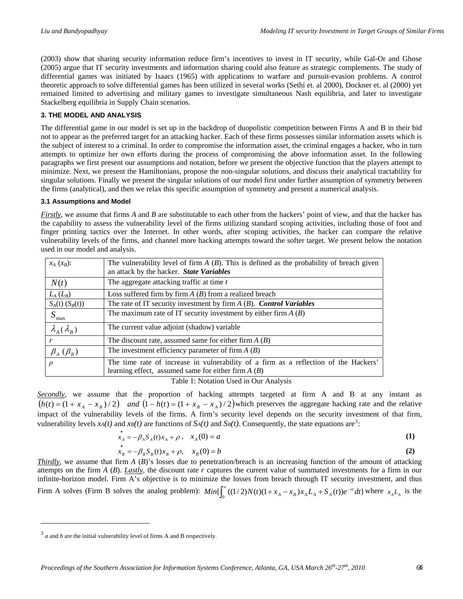(2003) show that sharing security information reduce firm's incentives to invest in IT security, while Gal-Or and Ghose (2005) argue that IT security investments and information sharing could also feature as strategic complements. The study of differential games was initiated by Isaacs (1965) with applications to warfare and pursuit-evasion problems. A control theoretic approach to solve differential games has been utilized in several works (Sethi et. al 2000), Dockner et. al (2000) yet remained limited to advertising and military games to investigate simultaneous Nash equilibria, and later to investigate Stackelberg equilibria in Supply Chain scenarios.

#### **3. THE MODEL AND ANALYSIS**

The differential game in our model is set up in the backdrop of duopolistic competition between Firms A and B in their bid not to appear as the preferred target for an attacking hacker. Each of these firms possesses similar information assets which is the subject of interest to a criminal. In order to compromise the information asset, the criminal engages a hacker, who in turn attempts to optimize her own efforts during the process of compromising the above information asset. In the following paragraphs we first present our assumptions and notation, before we present the objective function that the players attempt to minimize. Next, we present the Hamiltonians, propose the non-singular solutions, and discuss their analytical tractability for singular solutions. Finally we present the singular solutions of our model first under further assumption of symmetry between the firms (analytical), and then we relax this specific assumption of symmetry and present a numerical analysis.

#### **3.1 Assumptions and Model**

*Firstly*, we assume that firms *A* and *B* are substitutable to each other from the hackers' point of view, and that the hacker has the capability to assess the vulnerability level of the firms utilizing standard scoping activities, including those of foot and finger printing tactics over the Internet. In other words, after scoping activities, the hacker can compare the relative vulnerability levels of the firms, and channel more hacking attempts toward the softer target. We present below the notation used in our model and analysis.

| $x_A(x_B)$ :               | The vulnerability level of firm $A(B)$ . This is defined as the probability of breach given<br>an attack by the hacker. State Variables      |  |
|----------------------------|----------------------------------------------------------------------------------------------------------------------------------------------|--|
| N(t)                       | The aggregate attacking traffic at time t                                                                                                    |  |
| $L_A(L_B)$                 | Loss suffered firm by firm $A(B)$ from a realized breach                                                                                     |  |
| $S_A(t)$ $(S_B(t))$        | The rate of IT security investment by firm $A(B)$ . Control Variables                                                                        |  |
| $S_{\text{max}}$           | The maximum rate of IT security investment by either firm $A(B)$                                                                             |  |
| $\lambda_{A}(\lambda_{B})$ | The current value adjoint (shadow) variable                                                                                                  |  |
|                            | The discount rate, assumed same for either firm $A(B)$                                                                                       |  |
| $\beta_A$ ( $\beta_B$ )    | The investment efficiency parameter of firm $A(B)$                                                                                           |  |
| $\rho$                     | The time rate of increase in vulnerability of a firm as a reflection of the Hackers'<br>learning effect, assumed same for either firm $A(B)$ |  |

Table 1: Notation Used in Our Analysis

*Secondly*, we assume that the proportion of hacking attempts targeted at firm A and B at any instant as  $(h(t) = (1 + x_A - x_B)/2)$  *and*  $(1 - h(t) = (1 + x_B - x_A)/2)$  which preserves the aggregate hacking rate and the relative impact of the vulnerability levels of the firms. A firm's security level depends on the security investment of that firm, vulnerability levels  $x_A(t)$  and  $x_B(t)$  are functions of  $S_A(t)$  and  $S_B(t)$ . Consequently, the state equations are<sup>[3](#page-3-0)</sup>:

$$
\dot{x}_A = -\beta_A S_A(t)x_A + \rho \,, \quad x_A(0) = a \tag{1}
$$

$$
\dot{x}_B = -\beta_B S_B(t)x_B + \rho, \quad x_B(0) = b \tag{2}
$$

*Thirdly*, we assume that firm *A* (*B*)'s losses due to penetration/breach is an increasing function of the amount of attacking attempts on the firm *A* (*B*). *Lastly*, the discount rate *r* captures the current value of summated investments for a firm in our infinite-horizon model. Firm A's objective is to minimize the losses from breach through IT security investment, and thus Firm A solves (Firm B solves the analog problem):  $Min\{\int_0^{\infty}((1/2)N(t)(1 + x_A - x_B)x_A L_A + S_A(t))e^{-rt} dt\}$  where  $x_A L_A$  is the

 $\overline{\phantom{a}}$ 

<span id="page-3-0"></span> $3$  *a* and *b* are the initial vulnerability level of firms A and B respectively.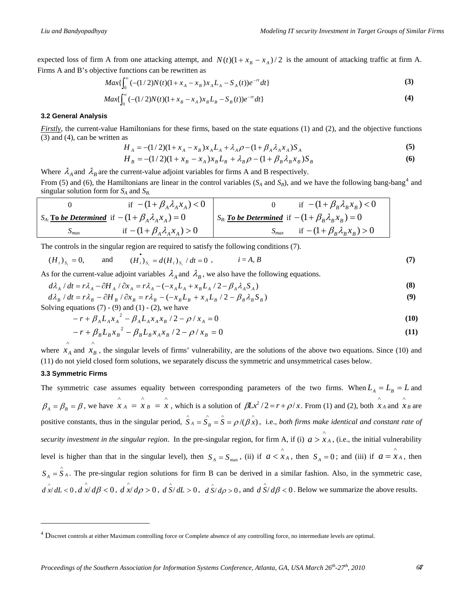expected loss of firm A from one attacking attempt, and  $N(t)(1 + x_B - x_A)/2$  is the amount of attacking traffic at firm A. Firms A and B's objective functions can be rewritten as

$$
Max\{\int_0^\infty (- (1/2)N(t)(1 + x_A - x_B)x_A L_A - S_A(t))e^{-rt} dt\}
$$
\n(3)

$$
Max\{\int_0^\infty(-(1/2)N(t)(1+x_B-x_A)x_BL_B-S_B(t))e^{-rt}dt\}\tag{4}
$$

#### **3.2 General Analysis**

*Firstly*, the current-value Hamiltonians for these firms, based on the state equations (1) and (2), and the objective functions (3) and (4), can be written as

$$
H_A = -(1/2)(1 + x_A - x_B)x_A L_A + \lambda_A \rho - (1 + \beta_A \lambda_A x_A)S_A
$$
\n(5)

$$
H_B = -(1/2)(1 + x_B - x_A)x_B L_B + \lambda_B \rho - (1 + \beta_B \lambda_B x_B)S_B
$$
(6)

Where  $\lambda_A$  and  $\lambda_B$  are the current-value adjoint variables for firms A and B respectively.

From (5) and (6), the Hamiltonians are linear in the control variables ( $S_A$  and  $S_B$ ), and we have the following bang-bang<sup>[4](#page-4-0)</sup> and singular solution form for  $S_A$  and  $S_B$ .

|                     | if $-(1+\beta_A\lambda_A x_A) < 0$                                | if $-(1+\beta_B\lambda_Bx_B)<0$                          |
|---------------------|-------------------------------------------------------------------|----------------------------------------------------------|
|                     | $S_{A}$ : <b>To be Determined</b> if $-(1+\beta_A\lambda_Ax_A)=0$ | $S_B$ : To be Determined if $-(1+\beta_B\lambda_Bx_B)=0$ |
| $\mathcal{L}_{max}$ | if $-(1+\beta_A\lambda_A x_A) > 0$                                | if $-(1+\beta_B\lambda_Bx_B)>0$                          |

The controls in the singular region are required to satisfy the following conditions (7).

$$
(H_i)_{S_i} = 0
$$
, and  $(H_i)_{S_i} = d(H_i)_{S_i} / dt = 0$ ,  $i = A, B$  (7)

As for the current-value adjoint variables  $\lambda_A$  and  $\lambda_B$ , we also have the following equations.

$$
d\lambda_A / dt = r\lambda_A - \partial H_A / \partial x_A = r\lambda_A - (-x_A L_A + x_B L_A / 2 - \beta_A \lambda_A S_A)
$$
 (8)

$$
d\lambda_B / dt = r\lambda_B - \partial H_B / \partial x_B = r\lambda_B - (-x_B L_B + x_A L_B / 2 - \beta_B \lambda_B S_B)
$$
\n(9)

Solving equations  $(7)$  -  $(9)$  and  $(1)$  -  $(2)$ , we have

$$
-r + \beta_A L_A x_A^2 - \beta_A L_A x_A x_B / 2 - \rho / x_A = 0
$$
\n(10)

$$
-r + \beta_B L_B x_B^2 - \beta_B L_B x_A x_B / 2 - \rho / x_B = 0
$$
\n(11)

where  $x_A$  and  $x_B$ , the singular levels of firms' vulnerability, are the solutions of the above two equations. Since (10) and (11) do not yield closed form solutions, we separately discuss the symmetric and unsymmetrical cases below.

#### **3.3 Symmetric Firms**

-

∧

The symmetric case assumes equality between corresponding parameters of the two firms. When  $L_A = L_B = L$  and  $\beta_A = \beta_B = \beta$ , we have  $x_A = x_B = x$ , which is a solution of  $\beta Lx^2/2 = r + \rho/x$ . From (1) and (2), both  $x_A$  and  $x_B$  are positive constants, thus in the singular period,  $\hat{S}_A = \hat{S}_B = \hat{S} = \rho/(\hat{B} \hat{x})$ , i.e., *both firms make identical and constant rate of security investment in the singular region.* In the pre-singular region, for firm A, if (i)  $a > x_A$ , (i.e., the initial vulnerability level is higher than that in the singular level), then  $S_A = S_{\text{max}}$ , (ii) if  $a < \hat{X}_A$ , then  $S_A = 0$ ; and (iii) if  $a = \hat{X}_A$ , then  $\hat{X}_A = \hat{X}_B = \hat{X}$ , which is a solution of  $\beta Lx^2/2 = r + \rho/x$ . From (1) and (2), both  $\hat{X}_A$  and  $\hat{X}_B$  $S_A = \hat{S}_A$ . The pre-singular region solutions for firm B can be derived in a similar fashion. Also, in the symmetric case,  $\int_{0}^{\infty} d\vec{x} \, d\vec{\mu} < 0$ ,  $\int_{0}^{\infty} d\vec{\mu} > 0$ ,  $\int_{0}^{\infty} d\vec{\mu} > 0$ ,  $\int_{0}^{\infty} d\vec{\mu} > 0$ , and  $\int_{0}^{\infty} d\vec{\mu} < 0$ . Below we summarize the above results.

<span id="page-4-0"></span> $4$  Discreet controls at either Maximum controlling force or Complete absence of any controlling force, no intermediate levels are optimal.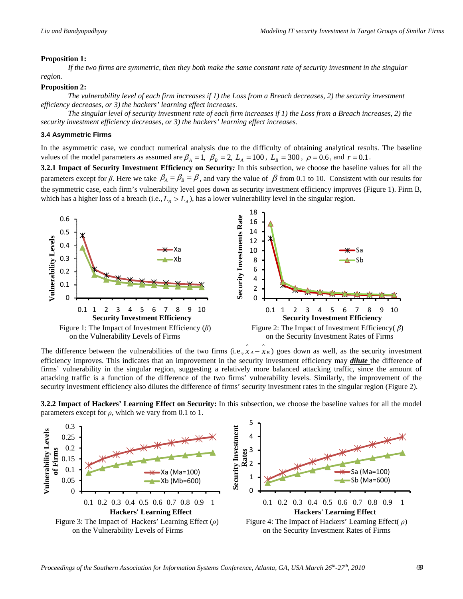#### **Proposition 1:**

If the two firms are symmetric, then they both make the same constant rate of security investment in the singular *region.* 

#### **Proposition 2:**

The vulnerability level of each firm increases if 1) the Loss from a Breach decreases, 2) the security investment *efficiency decreases, or 3) the hackers' learning effect increases.* 

The singular level of security investment rate of each firm increases if 1) the Loss from a Breach increases, 2) the *security investment efficiency decreases, or 3) the hackers' learning effect increases.* 

#### **3.4 Asymmetric Firms**

In the asymmetric case, we conduct numerical analysis due to the difficulty of obtaining analytical results. The baseline values of the model parameters as assumed are  $\beta_A = 1$ ,  $\beta_B = 2$ ,  $L_A = 100$ ,  $L_B = 300$ ,  $\rho = 0.6$ , and  $r = 0.1$ .

**3.2.1 Impact of Security Investment Efficiency on Security:** In this subsection, we choose the baseline values for all the parameters except for *β*. Here we take  $\beta_A = \beta_B = \beta$ , and vary the value of  $\beta$  from 0.1 to 10. Consistent with our results for the symmetric case, each firm's vulnerability level goes down as security investment efficiency improves (Figure 1). Firm B, which has a higher loss of a breach (i.e.,  $L_B > L_A$ ), has a lower vulnerability level in the singular region.



The difference between the vulnerabilities of the two firms (i.e.,  $\hat{x}_A - \hat{x}_B$ ) goes down as well, as the security investment efficiency improves. This indicates that an improvement in the security investment efficiency may *dilute* the difference of firms' vulnerability in the singular region, suggesting a relatively more balanced attacking traffic, since the amount of attacking traffic is a function of the difference of the two firms' vulnerability levels. Similarly, the improvement of the security investment efficiency also dilutes the difference of firms' security investment rates in the singular region (Figure 2).

**3.2.2 Impact of Hackers' Learning Effect on Security:** In this subsection, we choose the baseline values for all the model parameters except for  $\rho$ , which we vary from 0.1 to 1.